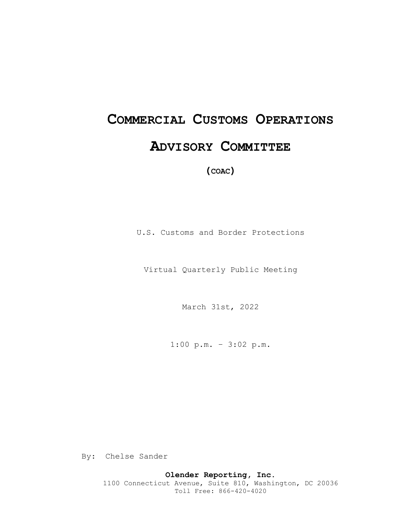# **COMMERCIAL CUSTOMS OPERATIONS ADVISORY COMMITTEE**

**(COAC)** 

U.S. Customs and Border Protections

Virtual Quarterly Public Meeting

March 31st, 2022

1:00 p.m. – 3:02 p.m.

By: Chelse Sander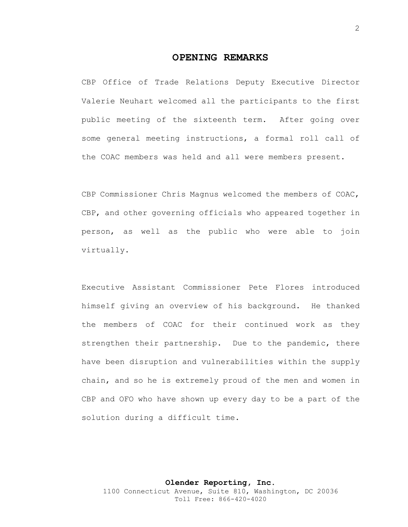### **OPENING REMARKS**

CBP Office of Trade Relations Deputy Executive Director Valerie Neuhart welcomed all the participants to the first public meeting of the sixteenth term. After going over some general meeting instructions, a formal roll call of the COAC members was held and all were members present.

CBP Commissioner Chris Magnus welcomed the members of COAC, CBP, and other governing officials who appeared together in person, as well as the public who were able to join virtually.

Executive Assistant Commissioner Pete Flores introduced himself giving an overview of his background. He thanked the members of COAC for their continued work as they strengthen their partnership. Due to the pandemic, there have been disruption and vulnerabilities within the supply chain, and so he is extremely proud of the men and women in CBP and OFO who have shown up every day to be a part of the solution during a difficult time.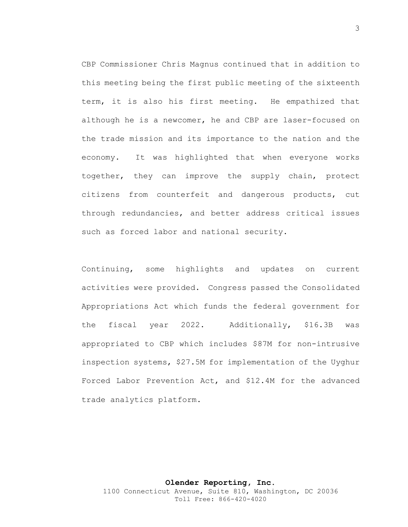CBP Commissioner Chris Magnus continued that in addition to this meeting being the first public meeting of the sixteenth term, it is also his first meeting. He empathized that although he is a newcomer, he and CBP are laser-focused on the trade mission and its importance to the nation and the economy. It was highlighted that when everyone works together, they can improve the supply chain, protect citizens from counterfeit and dangerous products, cut through redundancies, and better address critical issues such as forced labor and national security.

Continuing, some highlights and updates on current activities were provided. Congress passed the Consolidated Appropriations Act which funds the federal government for the fiscal year 2022. Additionally, \$16.3B was appropriated to CBP which includes \$87M for non-intrusive inspection systems, \$27.5M for implementation of the Uyghur Forced Labor Prevention Act, and \$12.4M for the advanced trade analytics platform.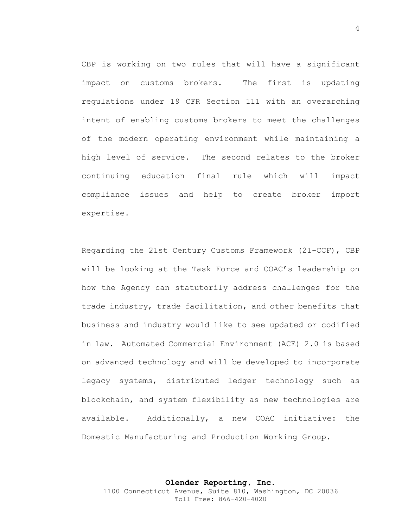CBP is working on two rules that will have a significant impact on customs brokers. The first is updating regulations under 19 CFR Section 111 with an overarching intent of enabling customs brokers to meet the challenges of the modern operating environment while maintaining a high level of service. The second relates to the broker continuing education final rule which will impact compliance issues and help to create broker import expertise.

Regarding the 21st Century Customs Framework (21-CCF), CBP will be looking at the Task Force and COAC's leadership on how the Agency can statutorily address challenges for the trade industry, trade facilitation, and other benefits that business and industry would like to see updated or codified in law. Automated Commercial Environment (ACE) 2.0 is based on advanced technology and will be developed to incorporate legacy systems, distributed ledger technology such as blockchain, and system flexibility as new technologies are available. Additionally, a new COAC initiative: the Domestic Manufacturing and Production Working Group.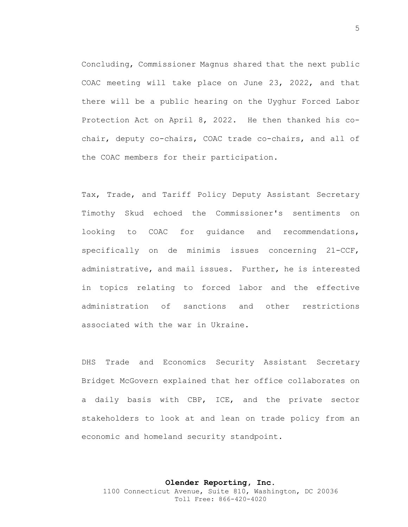Concluding, Commissioner Magnus shared that the next public COAC meeting will take place on June 23, 2022, and that there will be a public hearing on the Uyghur Forced Labor Protection Act on April 8, 2022. He then thanked his cochair, deputy co-chairs, COAC trade co-chairs, and all of the COAC members for their participation.

Tax, Trade, and Tariff Policy Deputy Assistant Secretary Timothy Skud echoed the Commissioner's sentiments on looking to COAC for guidance and recommendations, specifically on de minimis issues concerning 21-CCF, administrative, and mail issues. Further, he is interested in topics relating to forced labor and the effective administration of sanctions and other restrictions associated with the war in Ukraine.

DHS Trade and Economics Security Assistant Secretary Bridget McGovern explained that her office collaborates on a daily basis with CBP, ICE, and the private sector stakeholders to look at and lean on trade policy from an economic and homeland security standpoint.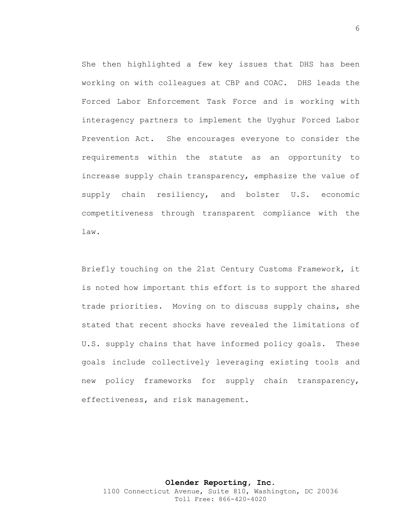She then highlighted a few key issues that DHS has been working on with colleagues at CBP and COAC. DHS leads the Forced Labor Enforcement Task Force and is working with interagency partners to implement the Uyghur Forced Labor Prevention Act. She encourages everyone to consider the requirements within the statute as an opportunity to increase supply chain transparency, emphasize the value of supply chain resiliency, and bolster U.S. economic competitiveness through transparent compliance with the law.

Briefly touching on the 21st Century Customs Framework, it is noted how important this effort is to support the shared trade priorities. Moving on to discuss supply chains, she stated that recent shocks have revealed the limitations of U.S. supply chains that have informed policy goals. These goals include collectively leveraging existing tools and new policy frameworks for supply chain transparency, effectiveness, and risk management.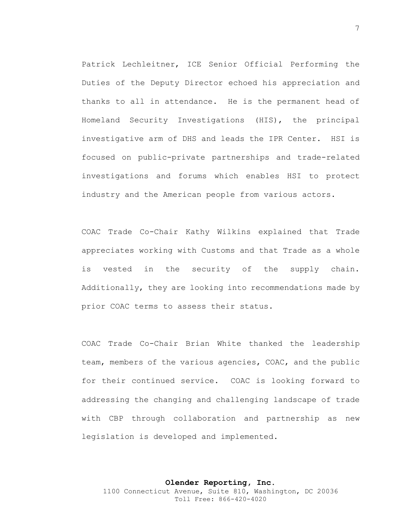Patrick Lechleitner, ICE Senior Official Performing the Duties of the Deputy Director echoed his appreciation and thanks to all in attendance. He is the permanent head of Homeland Security Investigations (HIS), the principal investigative arm of DHS and leads the IPR Center. HSI is focused on public-private partnerships and trade-related investigations and forums which enables HSI to protect industry and the American people from various actors.

COAC Trade Co-Chair Kathy Wilkins explained that Trade appreciates working with Customs and that Trade as a whole is vested in the security of the supply chain. Additionally, they are looking into recommendations made by prior COAC terms to assess their status.

COAC Trade Co-Chair Brian White thanked the leadership team, members of the various agencies, COAC, and the public for their continued service. COAC is looking forward to addressing the changing and challenging landscape of trade with CBP through collaboration and partnership as new legislation is developed and implemented.

**Olender Reporting, Inc.** 1100 Connecticut Avenue, Suite 810, Washington, DC 20036 Toll Free: 866-420-4020

#### 7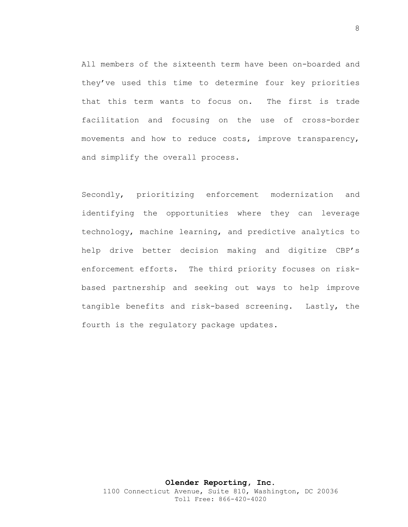All members of the sixteenth term have been on-boarded and they've used this time to determine four key priorities that this term wants to focus on. The first is trade facilitation and focusing on the use of cross-border movements and how to reduce costs, improve transparency, and simplify the overall process.

Secondly, prioritizing enforcement modernization and identifying the opportunities where they can leverage technology, machine learning, and predictive analytics to help drive better decision making and digitize CBP's enforcement efforts. The third priority focuses on riskbased partnership and seeking out ways to help improve tangible benefits and risk-based screening. Lastly, the fourth is the regulatory package updates.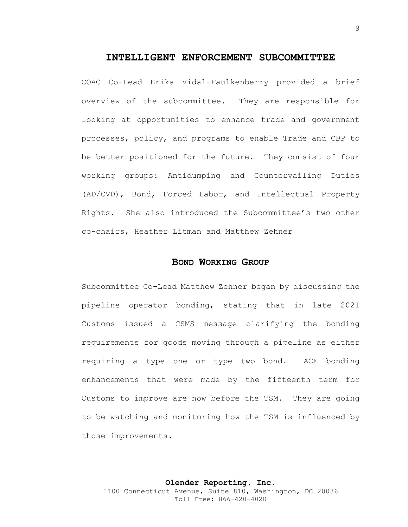### **INTELLIGENT ENFORCEMENT SUBCOMMITTEE**

COAC Co-Lead Erika Vidal-Faulkenberry provided a brief overview of the subcommittee. They are responsible for looking at opportunities to enhance trade and government processes, policy, and programs to enable Trade and CBP to be better positioned for the future. They consist of four working groups: Antidumping and Countervailing Duties (AD/CVD), Bond, Forced Labor, and Intellectual Property Rights. She also introduced the Subcommittee's two other co-chairs, Heather Litman and Matthew Zehner

### **BOND WORKING GROUP**

Subcommittee Co-Lead Matthew Zehner began by discussing the pipeline operator bonding, stating that in late 2021 Customs issued a CSMS message clarifying the bonding requirements for goods moving through a pipeline as either requiring a type one or type two bond. ACE bonding enhancements that were made by the fifteenth term for Customs to improve are now before the TSM. They are going to be watching and monitoring how the TSM is influenced by those improvements.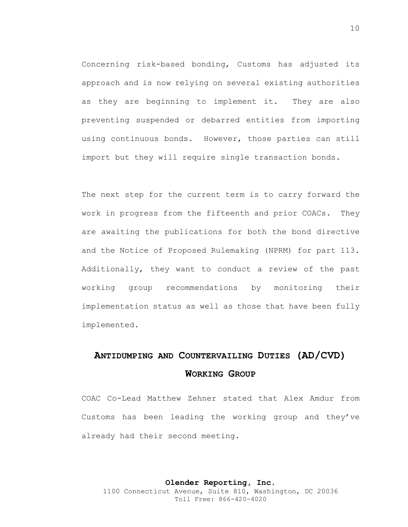Concerning risk-based bonding, Customs has adjusted its approach and is now relying on several existing authorities as they are beginning to implement it. They are also preventing suspended or debarred entities from importing using continuous bonds. However, those parties can still import but they will require single transaction bonds.

The next step for the current term is to carry forward the work in progress from the fifteenth and prior COACs. They are awaiting the publications for both the bond directive and the Notice of Proposed Rulemaking (NPRM) for part 113. Additionally, they want to conduct a review of the past working group recommendations by monitoring their implementation status as well as those that have been fully implemented.

### **ANTIDUMPING AND COUNTERVAILING DUTIES (AD/CVD) WORKING GROUP**

COAC Co-Lead Matthew Zehner stated that Alex Amdur from Customs has been leading the working group and they've already had their second meeting.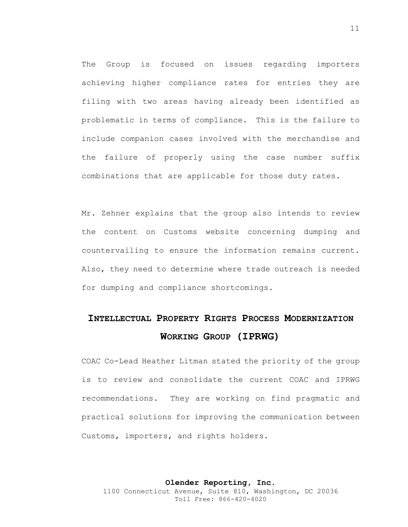The Group is focused on issues regarding importers achieving higher compliance rates for entries they are filing with two areas having already been identified as problematic in terms of compliance. This is the failure to include companion cases involved with the merchandise and the failure of properly using the case number suffix combinations that are applicable for those duty rates.

Mr. Zehner explains that the group also intends to review the content on Customs website concerning dumping and countervailing to ensure the information remains current. Also, they need to determine where trade outreach is needed for dumping and compliance shortcomings.

## **INTELLECTUAL PROPERTY RIGHTS PROCESS MODERNIZATION WORKING GROUP (IPRWG)**

COAC Co-Lead Heather Litman stated the priority of the group is to review and consolidate the current COAC and IPRWG recommendations. They are working on find pragmatic and practical solutions for improving the communication between Customs, importers, and rights holders.

**Olender Reporting, Inc.** 1100 Connecticut Avenue, Suite 810, Washington, DC 20036 Toll Free: 866-420-4020

#### 11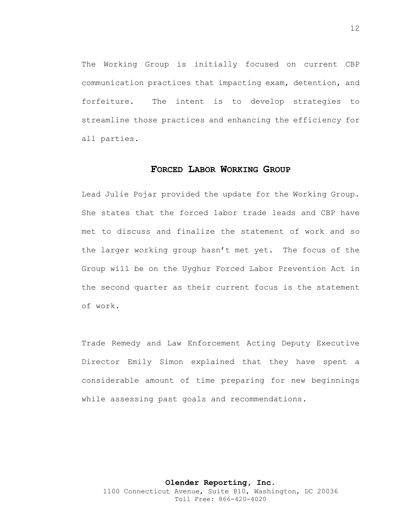The Working Group is initially focused on current CBP communication practices that impacting exam, detention, and forfeiture. The intent is to develop strategies to streamline those practices and enhancing the efficiency for all parties.

### **FORCED LABOR WORKING GROUP**

Lead Julie Pojar provided the update for the Working Group. She states that the forced labor trade leads and CBP have met to discuss and finalize the statement of work and so the larger working group hasn't met yet. The focus of the Group will be on the Uyghur Forced Labor Prevention Act in the second quarter as their current focus is the statement of work.

Trade Remedy and Law Enforcement Acting Deputy Executive Director Emily Simon explained that they have spent a considerable amount of time preparing for new beginnings while assessing past goals and recommendations.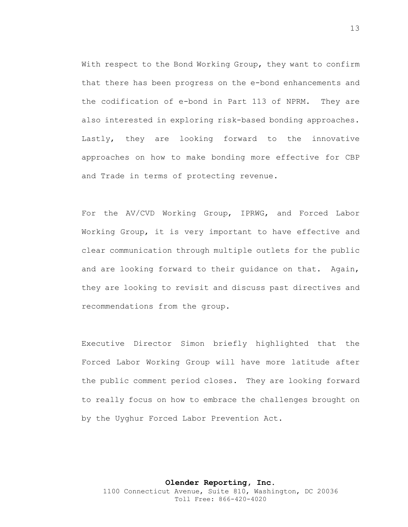With respect to the Bond Working Group, they want to confirm that there has been progress on the e-bond enhancements and the codification of e-bond in Part 113 of NPRM. They are also interested in exploring risk-based bonding approaches. Lastly, they are looking forward to the innovative approaches on how to make bonding more effective for CBP and Trade in terms of protecting revenue.

For the AV/CVD Working Group, IPRWG, and Forced Labor Working Group, it is very important to have effective and clear communication through multiple outlets for the public and are looking forward to their guidance on that. Again, they are looking to revisit and discuss past directives and recommendations from the group.

Executive Director Simon briefly highlighted that the Forced Labor Working Group will have more latitude after the public comment period closes. They are looking forward to really focus on how to embrace the challenges brought on by the Uyghur Forced Labor Prevention Act.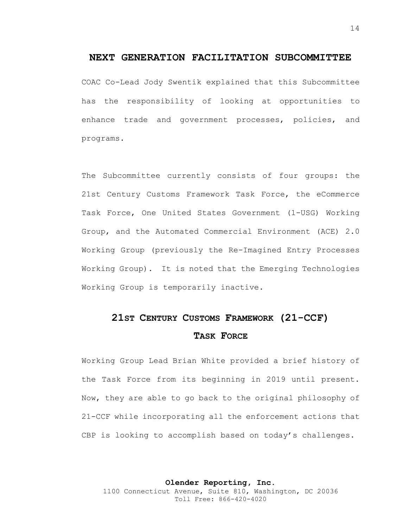### **NEXT GENERATION FACILITATION SUBCOMMITTEE**

COAC Co-Lead Jody Swentik explained that this Subcommittee has the responsibility of looking at opportunities to enhance trade and government processes, policies, and programs.

The Subcommittee currently consists of four groups: the 21st Century Customs Framework Task Force, the eCommerce Task Force, One United States Government (1-USG) Working Group, and the Automated Commercial Environment (ACE) 2.0 Working Group (previously the Re-Imagined Entry Processes Working Group). It is noted that the Emerging Technologies Working Group is temporarily inactive.

## **21ST CENTURY CUSTOMS FRAMEWORK (21-CCF) TASK FORCE**

Working Group Lead Brian White provided a brief history of the Task Force from its beginning in 2019 until present. Now, they are able to go back to the original philosophy of 21-CCF while incorporating all the enforcement actions that CBP is looking to accomplish based on today's challenges.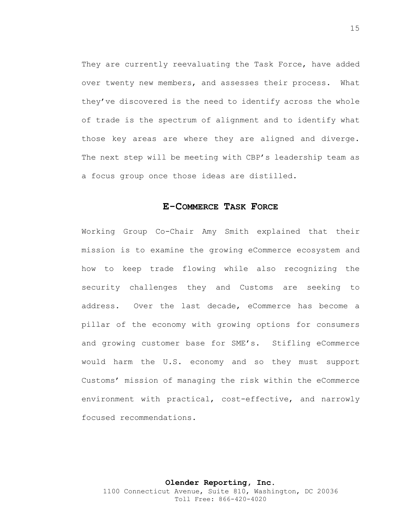They are currently reevaluating the Task Force, have added over twenty new members, and assesses their process. What they've discovered is the need to identify across the whole of trade is the spectrum of alignment and to identify what those key areas are where they are aligned and diverge. The next step will be meeting with CBP's leadership team as a focus group once those ideas are distilled.

### **E-COMMERCE TASK FORCE**

Working Group Co-Chair Amy Smith explained that their mission is to examine the growing eCommerce ecosystem and how to keep trade flowing while also recognizing the security challenges they and Customs are seeking to address. Over the last decade, eCommerce has become a pillar of the economy with growing options for consumers and growing customer base for SME's. Stifling eCommerce would harm the U.S. economy and so they must support Customs' mission of managing the risk within the eCommerce environment with practical, cost-effective, and narrowly focused recommendations.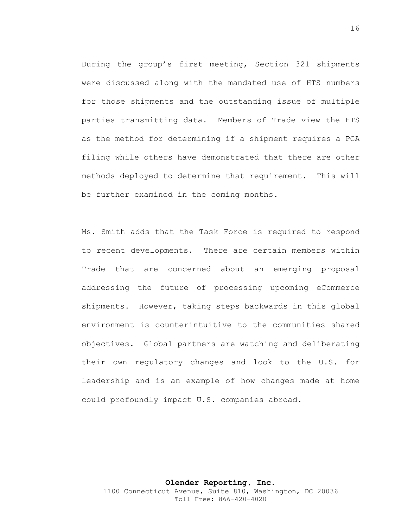During the group's first meeting, Section 321 shipments were discussed along with the mandated use of HTS numbers for those shipments and the outstanding issue of multiple parties transmitting data. Members of Trade view the HTS as the method for determining if a shipment requires a PGA filing while others have demonstrated that there are other methods deployed to determine that requirement. This will be further examined in the coming months.

Ms. Smith adds that the Task Force is required to respond to recent developments. There are certain members within Trade that are concerned about an emerging proposal addressing the future of processing upcoming eCommerce shipments. However, taking steps backwards in this global environment is counterintuitive to the communities shared objectives. Global partners are watching and deliberating their own regulatory changes and look to the U.S. for leadership and is an example of how changes made at home could profoundly impact U.S. companies abroad.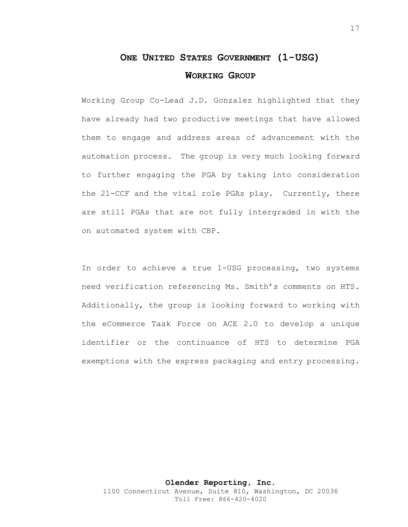### **ONE UNITED STATES GOVERNMENT (1-USG) WORKING GROUP**

Working Group Co-Lead J.D. Gonzalez highlighted that they have already had two productive meetings that have allowed them to engage and address areas of advancement with the automation process. The group is very much looking forward to further engaging the PGA by taking into consideration the 21-CCF and the vital role PGAs play. Currently, there are still PGAs that are not fully intergraded in with the on automated system with CBP.

In order to achieve a true 1-USG processing, two systems need verification referencing Ms. Smith's comments on HTS. Additionally, the group is looking forward to working with the eCommerce Task Force on ACE 2.0 to develop a unique identifier or the continuance of HTS to determine PGA exemptions with the express packaging and entry processing.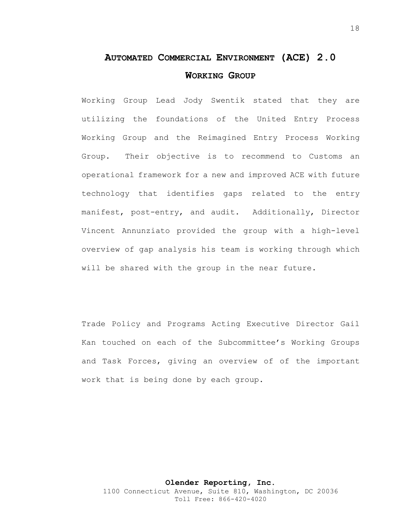### **AUTOMATED COMMERCIAL ENVIRONMENT (ACE) 2.0 WORKING GROUP**

Working Group Lead Jody Swentik stated that they are utilizing the foundations of the United Entry Process Working Group and the Reimagined Entry Process Working Group. Their objective is to recommend to Customs an operational framework for a new and improved ACE with future technology that identifies gaps related to the entry manifest, post-entry, and audit. Additionally, Director Vincent Annunziato provided the group with a high-level overview of gap analysis his team is working through which will be shared with the group in the near future.

Trade Policy and Programs Acting Executive Director Gail Kan touched on each of the Subcommittee's Working Groups and Task Forces, giving an overview of of the important work that is being done by each group.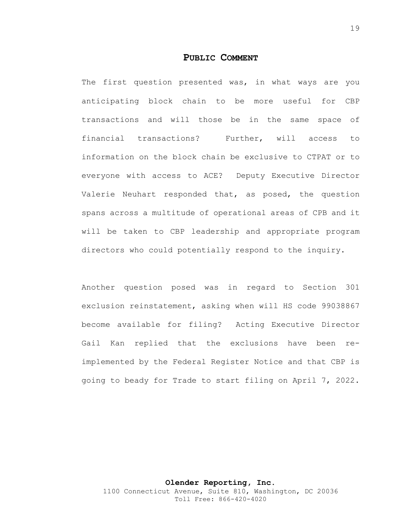#### **PUBLIC COMMENT**

The first question presented was, in what ways are you anticipating block chain to be more useful for CBP transactions and will those be in the same space of financial transactions? Further, will access to information on the block chain be exclusive to CTPAT or to everyone with access to ACE? Deputy Executive Director Valerie Neuhart responded that, as posed, the question spans across a multitude of operational areas of CPB and it will be taken to CBP leadership and appropriate program directors who could potentially respond to the inquiry.

Another question posed was in regard to Section 301 exclusion reinstatement, asking when will HS code 99038867 become available for filing? Acting Executive Director Gail Kan replied that the exclusions have been reimplemented by the Federal Register Notice and that CBP is going to beady for Trade to start filing on April 7, 2022.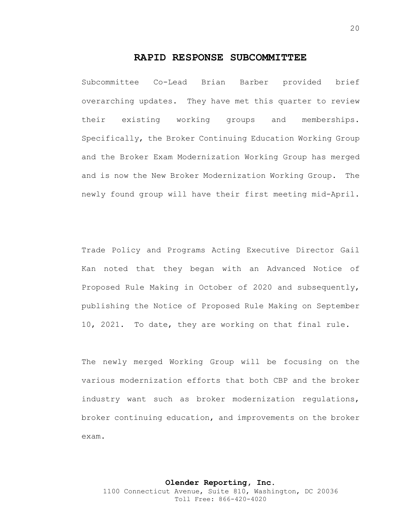### **RAPID RESPONSE SUBCOMMITTEE**

Subcommittee Co-Lead Brian Barber provided brief overarching updates. They have met this quarter to review their existing working groups and memberships. Specifically, the Broker Continuing Education Working Group and the Broker Exam Modernization Working Group has merged and is now the New Broker Modernization Working Group. The newly found group will have their first meeting mid-April.

Trade Policy and Programs Acting Executive Director Gail Kan noted that they began with an Advanced Notice of Proposed Rule Making in October of 2020 and subsequently, publishing the Notice of Proposed Rule Making on September 10, 2021. To date, they are working on that final rule.

The newly merged Working Group will be focusing on the various modernization efforts that both CBP and the broker industry want such as broker modernization regulations, broker continuing education, and improvements on the broker exam.

Toll Free: 866-420-4020

20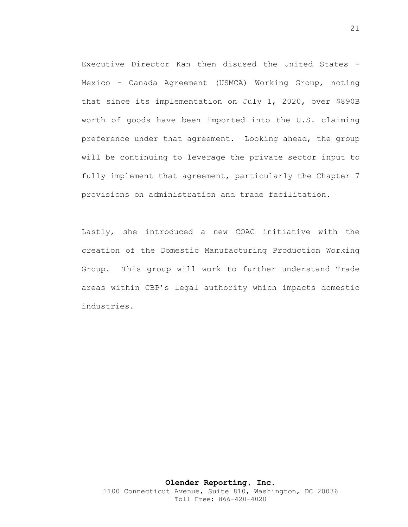Executive Director Kan then disused the United States - Mexico - Canada Agreement (USMCA) Working Group, noting that since its implementation on July 1, 2020, over \$890B worth of goods have been imported into the U.S. claiming preference under that agreement. Looking ahead, the group will be continuing to leverage the private sector input to fully implement that agreement, particularly the Chapter 7 provisions on administration and trade facilitation.

Lastly, she introduced a new COAC initiative with the creation of the Domestic Manufacturing Production Working Group. This group will work to further understand Trade areas within CBP's legal authority which impacts domestic industries.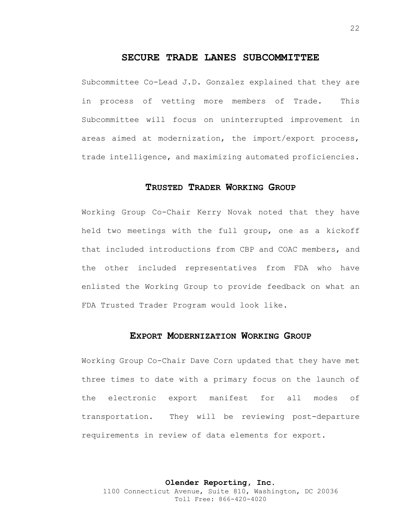### **SECURE TRADE LANES SUBCOMMITTEE**

Subcommittee Co-Lead J.D. Gonzalez explained that they are in process of vetting more members of Trade. This Subcommittee will focus on uninterrupted improvement in areas aimed at modernization, the import/export process, trade intelligence, and maximizing automated proficiencies.

### **TRUSTED TRADER WORKING GROUP**

Working Group Co-Chair Kerry Novak noted that they have held two meetings with the full group, one as a kickoff that included introductions from CBP and COAC members, and the other included representatives from FDA who have enlisted the Working Group to provide feedback on what an FDA Trusted Trader Program would look like.

### **EXPORT MODERNIZATION WORKING GROUP**

Working Group Co-Chair Dave Corn updated that they have met three times to date with a primary focus on the launch of the electronic export manifest for all modes of transportation. They will be reviewing post-departure requirements in review of data elements for export.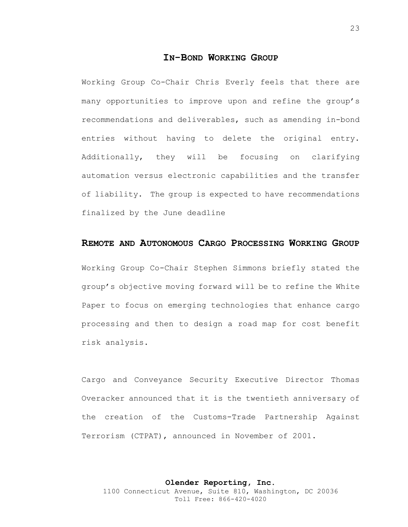### **IN-BOND WORKING GROUP**

Working Group Co-Chair Chris Everly feels that there are many opportunities to improve upon and refine the group's recommendations and deliverables, such as amending in-bond entries without having to delete the original entry. Additionally, they will be focusing on clarifying automation versus electronic capabilities and the transfer of liability. The group is expected to have recommendations finalized by the June deadline

### **REMOTE AND AUTONOMOUS CARGO PROCESSING WORKING GROUP**

Working Group Co-Chair Stephen Simmons briefly stated the group's objective moving forward will be to refine the White Paper to focus on emerging technologies that enhance cargo processing and then to design a road map for cost benefit risk analysis.

Cargo and Conveyance Security Executive Director Thomas Overacker announced that it is the twentieth anniversary of the creation of the Customs-Trade Partnership Against Terrorism (CTPAT), announced in November of 2001.

#### **Olender Reporting, Inc.**

1100 Connecticut Avenue, Suite 810, Washington, DC 20036 Toll Free: 866-420-4020